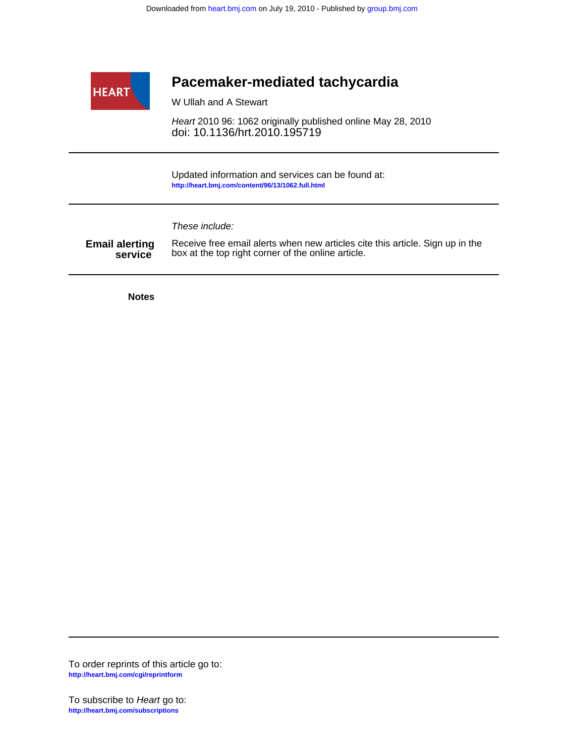

## **Pacemaker-mediated tachycardia**

W Ullah and A Stewart

doi: 10.1136/hrt.2010.195719 Heart 2010 96: 1062 originally published online May 28, 2010

**<http://heart.bmj.com/content/96/13/1062.full.html>** Updated information and services can be found at:

These include:

**Email alerting**<br>service box at the top right corner of the online article. Receive free email alerts when new articles cite this article. Sign up in the

**Notes**

**<http://heart.bmj.com/cgi/reprintform>** To order reprints of this article go to: